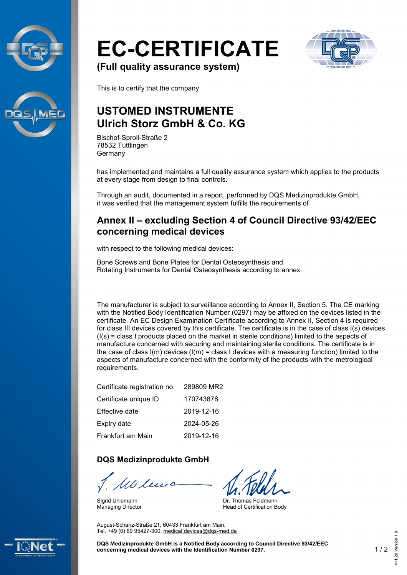



# **EC-CERTIFICATE**



**(Full quality assurance system)**

This is to certify that the company

## **USTOMED INSTRUMENTE Ulrich Storz GmbH & Co. KG**

Bischof-Sproll-Straße 2 78532 Tuttlingen Germany

has implemented and maintains a full quality assurance system which applies to the products at every stage from design to final controls.

Through an audit, documented in a report, performed by DQS Medizinprodukte GmbH, it was verified that the management system fulfills the requirements of

#### **Annex II – excluding Section 4 of Council Directive 93/42/EEC concerning medical devices**

with respect to the following medical devices:

Bone Screws and Bone Plates for Dental Osteosynthesis and Rotating Instruments for Dental Osteosynthesis according to annex

The manufacturer is subject to surveillance according to Annex II, Section 5. The CE marking with the Notified Body Identification Number (0297) may be affixed on the devices listed in the certificate. An EC Design Examination Certificate according to Annex II, Section 4 is required for class III devices covered by this certificate. The certificate is in the case of class I(s) devices  $(I(s) = class I$  products placed on the market in sterile conditions) limited to the aspects of manufacture concerned with securing and maintaining sterile conditions. The certificate is in the case of class  $I(m)$  devices  $I(m) =$  class I devices with a measuring function) limited to the aspects of manufacture concerned with the conformity of the products with the metrological requirements.

| Certificate registration no. | 289809 MR2 |
|------------------------------|------------|
| Certificate unique ID        | 170743876  |
| Effective date               | 2019-12-16 |
| Expiry date                  | 2024-05-26 |
| Frankfurt am Main            | 2019-12-16 |

#### **DQS Medizinprodukte GmbH**

Mb lu

August-Schanz-Straße 21, 60433 Frankfurt am Main, Tel. +49 (0) 69 95427-300, [medical.devices@dqs-med.de](mailto:medical.devices@dqs-med.de)

Sigrid Uhlemann Managing Director

Dr. Thomas Feldmann Head of Certification Body

**DQS Medizinprodukte GmbH is a Notified Body according to Council Directive 93/42/EEC concerning medical devices with the Identification Number 0297.** 1 / 2